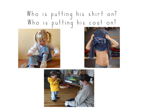## Who is putting his shirt on? Who is putting his coat on?